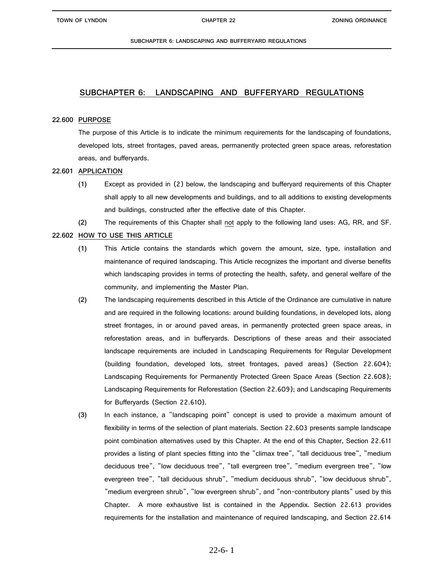# **22.600 PURPOSE**

The purpose of this Article is to indicate the minimum requirements for the landscaping of foundations, developed lots, street frontages, paved areas, permanently protected green space areas, reforestation areas, and bufferyards.

# **22.601 APPLICATION**

**(1)** Except as provided in (2) below, the landscaping and bufferyard requirements of this Chapter shall apply to all new developments and buildings, and to all additions to existing developments and buildings, constructed after the effective date of this Chapter.

**(2)** The requirements of this Chapter shall not apply to the following land uses: AG, RR, and SF.

# **22.602 HOW TO USE THIS ARTICLE**

- **(1)** This Article contains the standards which govern the amount, size, type, installation and maintenance of required landscaping. This Article recognizes the important and diverse benefits which landscaping provides in terms of protecting the health, safety, and general welfare of the community, and implementing the Master Plan.
- **(2)** The landscaping requirements described in this Article of the Ordinance are cumulative in nature and are required in the following locations: around building foundations, in developed lots, along street frontages, in or around paved areas, in permanently protected green space areas, in reforestation areas, and in bufferyards. Descriptions of these areas and their associated landscape requirements are included in Landscaping Requirements for Regular Development (building foundation, developed lots, street frontages, paved areas) (Section 22.604); Landscaping Requirements for Permanently Protected Green Space Areas (Section 22.608); Landscaping Requirements for Reforestation (Section 22.609); and Landscaping Requirements for Bufferyards (Section 22.610).
- **(3)** In each instance, a "landscaping point" concept is used to provide a maximum amount of flexibility in terms of the selection of plant materials. Section 22.603 presents sample landscape point combination alternatives used by this Chapter. At the end of this Chapter, Section 22.611 provides a listing of plant species fitting into the "climax tree", "tall deciduous tree", "medium deciduous tree", "low deciduous tree", "tall evergreen tree", "medium evergreen tree", "low evergreen tree", "tall deciduous shrub", "medium deciduous shrub", "low deciduous shrub", "medium evergreen shrub", "low evergreen shrub", and "non-contributory plants" used by this Chapter. A more exhaustive list is contained in the Appendix. Section 22.613 provides requirements for the installation and maintenance of required landscaping, and Section 22.614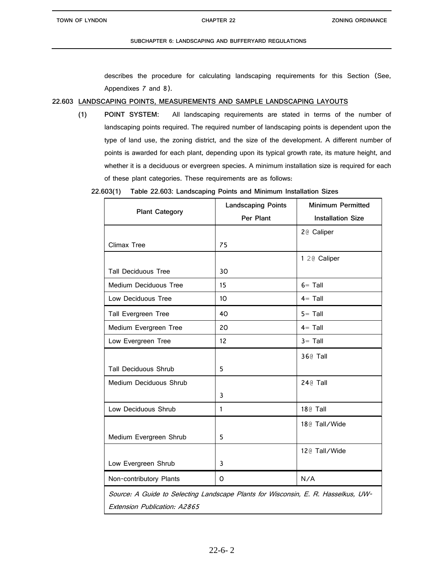describes the procedure for calculating landscaping requirements for this Section (See, Appendixes 7 and 8).

# **22.603 LANDSCAPING POINTS, MEASUREMENTS AND SAMPLE LANDSCAPING LAYOUTS**

**(1) POINT SYSTEM:** All landscaping requirements are stated in terms of the number of landscaping points required. The required number of landscaping points is dependent upon the type of land use, the zoning district, and the size of the development. A different number of points is awarded for each plant, depending upon its typical growth rate, its mature height, and whether it is a deciduous or evergreen species. A minimum installation size is required for each of these plant categories. These requirements are as follows:

**22.603(1) Table 22.603: Landscaping Points and Minimum Installation Sizes**

| <b>Plant Category</b>                                                                                             | <b>Landscaping Points</b><br>Per Plant | <b>Minimum Permitted</b><br><b>Installation Size</b> |
|-------------------------------------------------------------------------------------------------------------------|----------------------------------------|------------------------------------------------------|
|                                                                                                                   |                                        | 2@ Caliper                                           |
| Climax Tree                                                                                                       | 75                                     |                                                      |
|                                                                                                                   |                                        | 1 2 @ Caliper                                        |
| <b>Tall Deciduous Tree</b>                                                                                        | 30                                     |                                                      |
| Medium Deciduous Tree                                                                                             | 15                                     | $6 =$ Tall                                           |
| Low Deciduous Tree                                                                                                | 10 <sup>1</sup>                        | $4 =$ Tall                                           |
| Tall Evergreen Tree                                                                                               | 40                                     | $5 =$ Tall                                           |
| Medium Evergreen Tree                                                                                             | 20                                     | $4 =$ Tall                                           |
| Low Evergreen Tree                                                                                                | 12                                     | $3 =$ Tall                                           |
|                                                                                                                   |                                        | 36@ Tall                                             |
| <b>Tall Deciduous Shrub</b>                                                                                       | 5                                      |                                                      |
| Medium Deciduous Shrub                                                                                            |                                        | 24@ Tall                                             |
|                                                                                                                   | 3                                      |                                                      |
| Low Deciduous Shrub                                                                                               | 1                                      | 18@ Tall                                             |
|                                                                                                                   |                                        | 18@ Tall/Wide                                        |
| Medium Evergreen Shrub                                                                                            | 5                                      |                                                      |
|                                                                                                                   |                                        | 12@ Tall/Wide                                        |
| Low Evergreen Shrub                                                                                               | 3                                      |                                                      |
| Non-contributory Plants                                                                                           | O                                      | N/A                                                  |
| Source: A Guide to Selecting Landscape Plants for Wisconsin, E. R. Hasselkus, UW-<br>Extension Publication: A2865 |                                        |                                                      |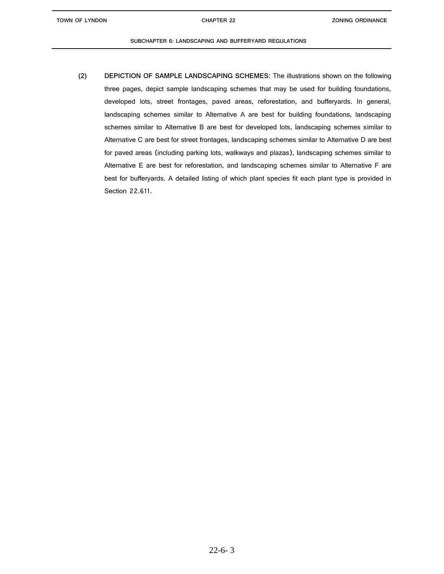**TOWN OF LYNDON CHAPTER 22**

### **SUBCHAPTER 6: LANDSCAPING AND BUFFERYARD REGULATIONS**

**(2) DEPICTION OF SAMPLE LANDSCAPING SCHEMES:** The illustrations shown on the following three pages, depict sample landscaping schemes that may be used for building foundations, developed lots, street frontages, paved areas, reforestation, and bufferyards. In general, landscaping schemes similar to Alternative A are best for building foundations, landscaping schemes similar to Alternative B are best for developed lots, landscaping schemes similar to Alternative C are best for street frontages, landscaping schemes similar to Alternative D are best for paved areas (including parking lots, walkways and plazas), landscaping schemes similar to Alternative E are best for reforestation, and landscaping schemes similar to Alternative F are best for bufferyards. A detailed listing of which plant species fit each plant type is provided in Section 22.611.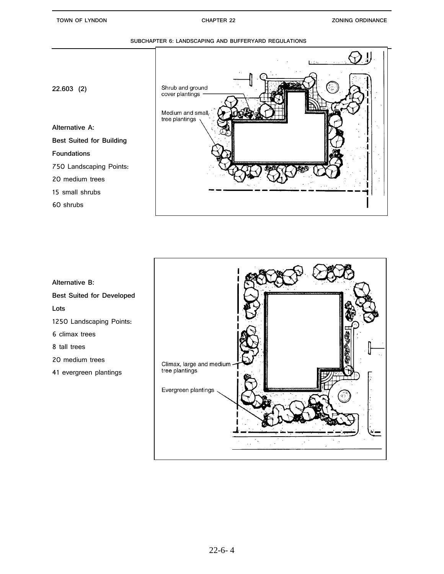# ļ Shrub and ground<br>cover plantings -**22.603 (2)** Medium and small. tree plantings **Alternative A: Best Suited for Building Foundations** 750 Landscaping Points: 20 medium trees 15 small shrubs 60 shrubs



**Alternative B: Best Suited for Developed Lots** 1250 Landscaping Points: 6 climax trees 8 tall trees 20 medium trees 41 evergreen plantings

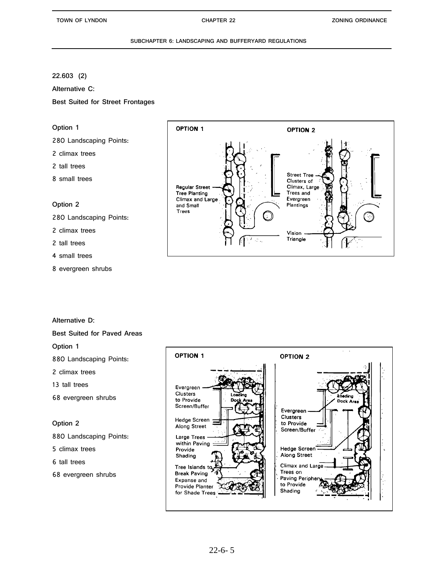# **22.603 (2)**

**Alternative C:**

**Best Suited for Street Frontages**

# **Option 1**

280 Landscaping Points:

- 2 climax trees
- 2 tall trees
- 8 small trees

# **Option 2**

- 280 Landscaping Points:
- 2 climax trees
- 2 tall trees
- 4 small trees
- 8 evergreen shrubs



# **Alternative D:**

### **OPTION 1 OPTION 2** Evergreen Clusters to Provide Dock A Screen/Buffer Evergreen Clusters **Hedge Screen** to Provide Along Street Screen/Buffer Large Trees within Paving Hedge Screen Provide Shading Along Street Climax and Lar Tree Islands to Trees on **Break Paving** Paving Periphe Expanse and to Provide Provide Planter Shading for Shade Trees

# **Best Suited for Paved Areas**

**Option 1**

880 Landscaping Points:

- 2 climax trees
- 13 tall trees
- 68 evergreen shrubs

# **Option 2**

880 Landscaping Points:

5 climax trees

6 tall trees

68 evergreen shrubs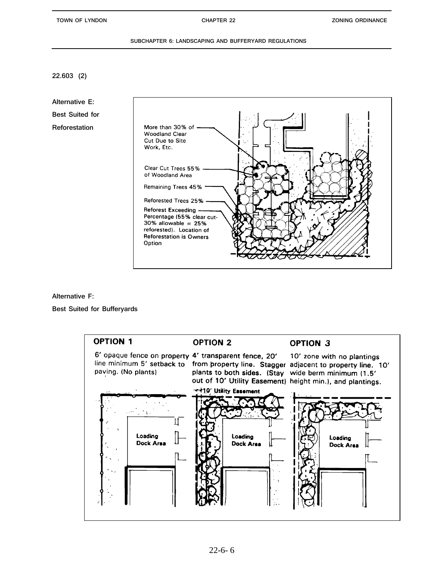**22.603 (2)**

**Alternative E: Best Suited for Reforestation**



**Alternative F:**

**Best Suited for Bufferyards**

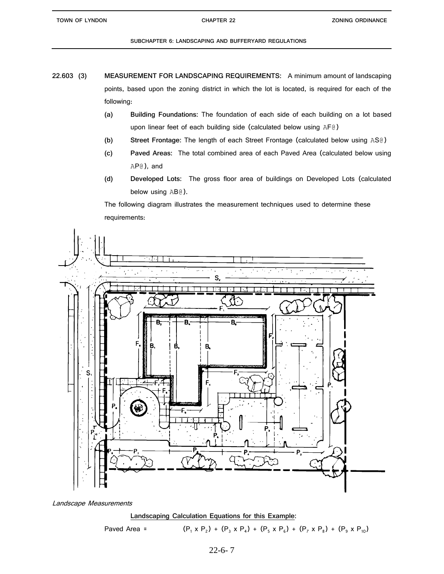- **22.603 (3) MEASUREMENT FOR LANDSCAPING REQUIREMENTS:** A minimum amount of landscaping points, based upon the zoning district in which the lot is located, is required for each of the following:
	- **(a) Building Foundations:** The foundation of each side of each building on a lot based upon linear feet of each building side (calculated below using AF@)
	- **(b) Street Frontage:** The length of each Street Frontage (calculated below using AS@)
	- **(c) Paved Areas:** The total combined area of each Paved Area (calculated below using AP@), and
	- **(d) Developed Lots:** The gross floor area of buildings on Developed Lots (calculated below using AB@).

The following diagram illustrates the measurement techniques used to determine these requirements:



Landscape Measurements



Paved Area = 
$$
(P_1 \times P_2) + (P_3 \times P_4) + (P_5 \times P_6) + (P_7 \times P_8) + (P_9 \times P_{10})
$$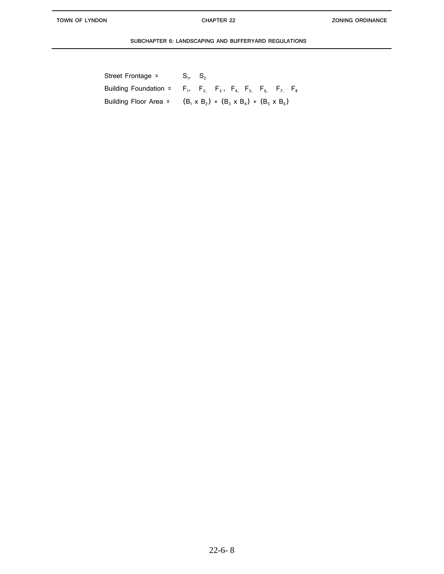L

| Street Frontage =                                                                   | $S_1$ , $S_2$ |                                                          |  |  |  |
|-------------------------------------------------------------------------------------|---------------|----------------------------------------------------------|--|--|--|
| Building Foundation = $F_1$ , $F_2$ , $F_3$ , $F_4$ , $F_5$ , $F_6$ , $F_7$ , $F_8$ |               |                                                          |  |  |  |
| Building Floor Area =                                                               |               | $(B_1 \times B_2) + (B_3 \times B_4) + (B_5 \times B_6)$ |  |  |  |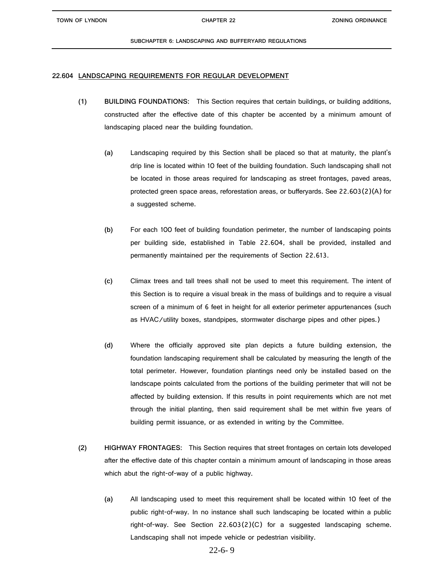**TOWN OF LYNDON CHAPTER 22**

### **SUBCHAPTER 6: LANDSCAPING AND BUFFERYARD REGULATIONS**

# **22.604 LANDSCAPING REQUIREMENTS FOR REGULAR DEVELOPMENT**

- **(1) BUILDING FOUNDATIONS:** This Section requires that certain buildings, or building additions, constructed after the effective date of this chapter be accented by a minimum amount of landscaping placed near the building foundation.
	- **(a)** Landscaping required by this Section shall be placed so that at maturity, the plant's drip line is located within 10 feet of the building foundation. Such landscaping shall not be located in those areas required for landscaping as street frontages, paved areas, protected green space areas, reforestation areas, or bufferyards. See 22.603(2)(A) for a suggested scheme.
	- **(b)** For each 100 feet of building foundation perimeter, the number of landscaping points per building side, established in Table 22.604, shall be provided, installed and permanently maintained per the requirements of Section 22.613.
	- **(c)** Climax trees and tall trees shall not be used to meet this requirement. The intent of this Section is to require a visual break in the mass of buildings and to require a visual screen of a minimum of 6 feet in height for all exterior perimeter appurtenances (such as HVAC/utility boxes, standpipes, stormwater discharge pipes and other pipes.)
	- **(d)** Where the officially approved site plan depicts a future building extension, the foundation landscaping requirement shall be calculated by measuring the length of the total perimeter. However, foundation plantings need only be installed based on the landscape points calculated from the portions of the building perimeter that will not be affected by building extension. If this results in point requirements which are not met through the initial planting, then said requirement shall be met within five years of building permit issuance, or as extended in writing by the Committee.
- **(2) HIGHWAY FRONTAGES:** This Section requires that street frontages on certain lots developed after the effective date of this chapter contain a minimum amount of landscaping in those areas which abut the right-of-way of a public highway.
	- **(a)** All landscaping used to meet this requirement shall be located within 10 feet of the public right-of-way. In no instance shall such landscaping be located within a public right-of-way. See Section 22.603(2)(C) for a suggested landscaping scheme. Landscaping shall not impede vehicle or pedestrian visibility.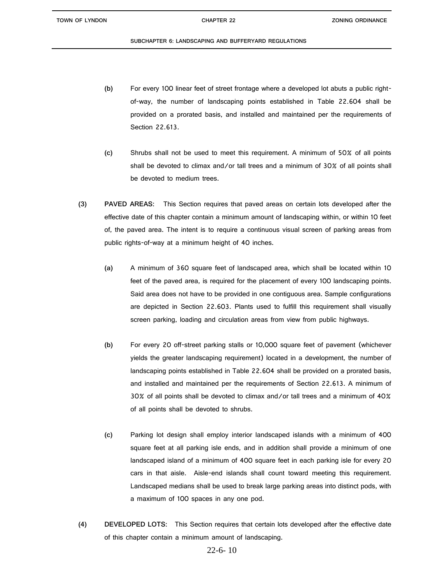- **(b)** For every 100 linear feet of street frontage where a developed lot abuts a public rightof-way, the number of landscaping points established in Table 22.604 shall be provided on a prorated basis, and installed and maintained per the requirements of Section 22.613.
- **(c)** Shrubs shall not be used to meet this requirement. A minimum of 50% of all points shall be devoted to climax and/or tall trees and a minimum of 30% of all points shall be devoted to medium trees.
- **(3) PAVED AREAS:** This Section requires that paved areas on certain lots developed after the effective date of this chapter contain a minimum amount of landscaping within, or within 10 feet of, the paved area. The intent is to require a continuous visual screen of parking areas from public rights-of-way at a minimum height of 40 inches.
	- **(a)** A minimum of 360 square feet of landscaped area, which shall be located within 10 feet of the paved area, is required for the placement of every 100 landscaping points. Said area does not have to be provided in one contiguous area. Sample configurations are depicted in Section 22.603. Plants used to fulfill this requirement shall visually screen parking, loading and circulation areas from view from public highways.
	- **(b)** For every 20 off-street parking stalls or 10,000 square feet of pavement (whichever yields the greater landscaping requirement) located in a development, the number of landscaping points established in Table 22.604 shall be provided on a prorated basis, and installed and maintained per the requirements of Section 22.613. A minimum of 30% of all points shall be devoted to climax and/or tall trees and a minimum of 40% of all points shall be devoted to shrubs.
	- **(c)** Parking lot design shall employ interior landscaped islands with a minimum of 400 square feet at all parking isle ends, and in addition shall provide a minimum of one landscaped island of a minimum of 400 square feet in each parking isle for every 20 cars in that aisle. Aisle-end islands shall count toward meeting this requirement. Landscaped medians shall be used to break large parking areas into distinct pods, with a maximum of 100 spaces in any one pod.
- **(4) DEVELOPED LOTS:** This Section requires that certain lots developed after the effective date of this chapter contain a minimum amount of landscaping.

# 22-6- 10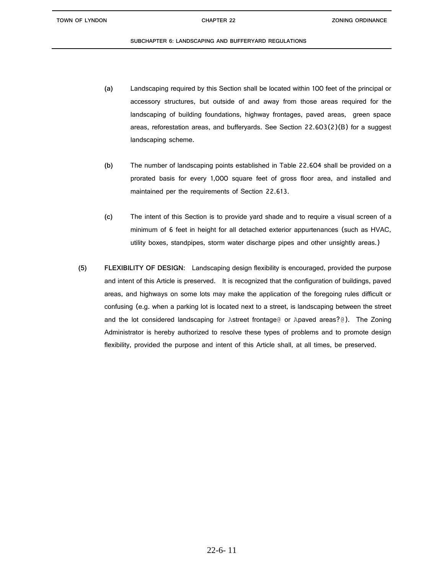- **(a)** Landscaping required by this Section shall be located within 100 feet of the principal or accessory structures, but outside of and away from those areas required for the landscaping of building foundations, highway frontages, paved areas, green space areas, reforestation areas, and bufferyards. See Section 22.603(2)(B) for a suggest landscaping scheme.
- **(b)** The number of landscaping points established in Table 22.604 shall be provided on a prorated basis for every 1,000 square feet of gross floor area, and installed and maintained per the requirements of Section 22.613.
- **(c)** The intent of this Section is to provide yard shade and to require a visual screen of a minimum of 6 feet in height for all detached exterior appurtenances (such as HVAC, utility boxes, standpipes, storm water discharge pipes and other unsightly areas.)
- **(5) FLEXIBILITY OF DESIGN:** Landscaping design flexibility is encouraged, provided the purpose and intent of this Article is preserved. It is recognized that the configuration of buildings, paved areas, and highways on some lots may make the application of the foregoing rules difficult or confusing (e.g. when a parking lot is located next to a street, is landscaping between the street and the lot considered landscaping for Astreet frontage@ or Apaved areas?@). The Zoning Administrator is hereby authorized to resolve these types of problems and to promote design flexibility, provided the purpose and intent of this Article shall, at all times, be preserved.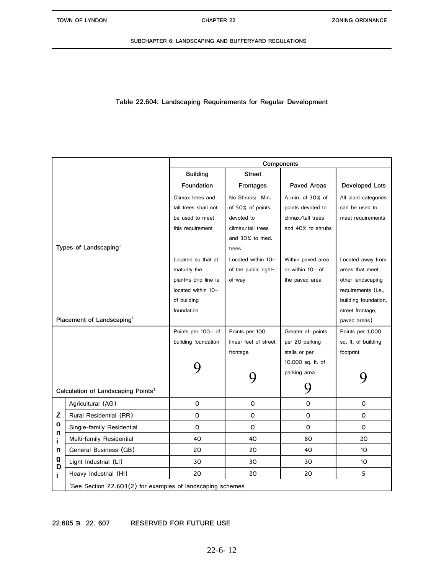**Table 22.604: Landscaping Requirements for Regular Development**

|        |                                                                        | Components           |                       |                    |                      |  |  |
|--------|------------------------------------------------------------------------|----------------------|-----------------------|--------------------|----------------------|--|--|
|        |                                                                        | <b>Building</b>      | <b>Street</b>         |                    |                      |  |  |
|        |                                                                        | Foundation           | Frontages             | <b>Paved Areas</b> | Developed Lots       |  |  |
|        |                                                                        | Climax trees and     | No Shrubs: Min.       | A min. of 30% of   | All plant categories |  |  |
|        |                                                                        | tall trees shall not | of 50% of points      | points devoted to  | can be used to       |  |  |
|        |                                                                        | be used to meet      | devoted to            | climax/tall trees  | meet requirements    |  |  |
|        |                                                                        | this requirement     | climax/tall trees     | and 40% to shrubs  |                      |  |  |
|        |                                                                        |                      | and 30% to med.       |                    |                      |  |  |
|        | Types of Landscaping <sup>1</sup>                                      |                      | trees                 |                    |                      |  |  |
|        |                                                                        | Located so that at   | Located within 10=    | Within paved area  | Located away from    |  |  |
|        |                                                                        | maturity the         | of the public right-  | or within 10= of   | areas that meet      |  |  |
|        |                                                                        | plant=s drip line is | of-way                | the paved area     | other landscaping    |  |  |
|        |                                                                        | located within 10=   |                       |                    | requirements (i.e.,  |  |  |
|        |                                                                        | of building          |                       |                    | building foundation, |  |  |
|        |                                                                        | foundation           |                       |                    | street frontage,     |  |  |
|        | Placement of Landscaping <sup>1</sup>                                  |                      |                       |                    | paved areas)         |  |  |
|        |                                                                        | Points per 100= of   | Points per 100        | Greater of: points | Points per 1,000     |  |  |
|        |                                                                        | building foundation  | linear feet of street | per 20 parking     | sq. ft. of building  |  |  |
|        |                                                                        |                      | frontage              | stalls or per      | footprint            |  |  |
|        |                                                                        |                      |                       | 10,000 sq. ft. of  |                      |  |  |
|        |                                                                        |                      |                       | parking area       |                      |  |  |
|        | Calculation of Landscaping Points <sup>1</sup>                         |                      |                       |                    |                      |  |  |
|        | Agricultural (AG)                                                      | $\Omega$             | O                     | O                  | O                    |  |  |
| Z      | Rural Residential (RR)                                                 | 0                    | O                     | $\mathsf{O}$       | O                    |  |  |
| o<br>n | Single-family Residential                                              | O                    | 0                     | 0                  | 0                    |  |  |
| i      | Multi-family Residential                                               | 40                   | 40                    | 80                 | 20                   |  |  |
| n      | General Business (GB)                                                  | 20                   | 20                    | 40                 | 10 <sup>1</sup>      |  |  |
| g<br>D | Light Industrial (LI)                                                  | 30                   | 30                    | 30                 | 10                   |  |  |
|        | Heavy Industrial (HI)                                                  | 20                   | 20                    | 20                 | 5                    |  |  |
|        | <sup>1</sup> See Section 22.603(2) for examples of landscaping schemes |                      |                       |                    |                      |  |  |
|        |                                                                        |                      |                       |                    |                      |  |  |

### **t s 22.605 B 22. 607 RESERVED FOR FUTURE USE**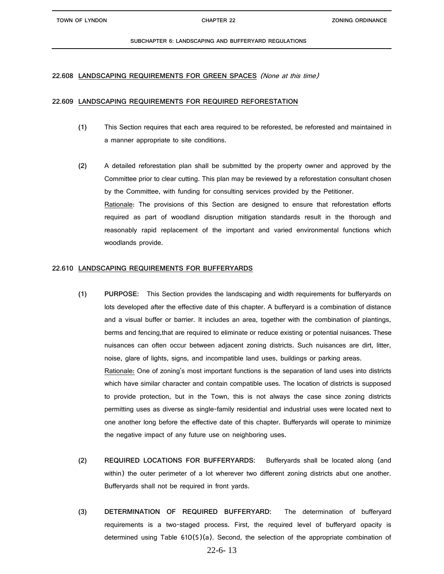# **22.608 LANDSCAPING REQUIREMENTS FOR GREEN SPACES** (None at this time)

# **22.609 LANDSCAPING REQUIREMENTS FOR REQUIRED REFORESTATION**

- **(1)** This Section requires that each area required to be reforested, be reforested and maintained in a manner appropriate to site conditions.
- **(2)** A detailed reforestation plan shall be submitted by the property owner and approved by the Committee prior to clear cutting. This plan may be reviewed by a reforestation consultant chosen by the Committee, with funding for consulting services provided by the Petitioner. Rationale: The provisions of this Section are designed to ensure that reforestation efforts required as part of woodland disruption mitigation standards result in the thorough and reasonably rapid replacement of the important and varied environmental functions which woodlands provide.

# **22.610 LANDSCAPING REQUIREMENTS FOR BUFFERYARDS**

- **(1) PURPOSE:** This Section provides the landscaping and width requirements for bufferyards on lots developed after the effective date of this chapter. A bufferyard is a combination of distance and a visual buffer or barrier. It includes an area, together with the combination of plantings, berms and fencing,that are required to eliminate or reduce existing or potential nuisances. These nuisances can often occur between adjacent zoning districts. Such nuisances are dirt, litter, noise, glare of lights, signs, and incompatible land uses, buildings or parking areas. Rationale: One of zoning's most important functions is the separation of land uses into districts which have similar character and contain compatible uses. The location of districts is supposed to provide protection, but in the Town, this is not always the case since zoning districts permitting uses as diverse as single-family residential and industrial uses were located next to one another long before the effective date of this chapter. Bufferyards will operate to minimize the negative impact of any future use on neighboring uses.
- **(2) REQUIRED LOCATIONS FOR BUFFERYARDS:** Bufferyards shall be located along (and within) the outer perimeter of a lot wherever two different zoning districts abut one another. Bufferyards shall not be required in front yards.
- **(3) DETERMINATION OF REQUIRED BUFFERYARD:** The determination of bufferyard requirements is a two-staged process. First, the required level of bufferyard opacity is determined using Table 610(5)(a). Second, the selection of the appropriate combination of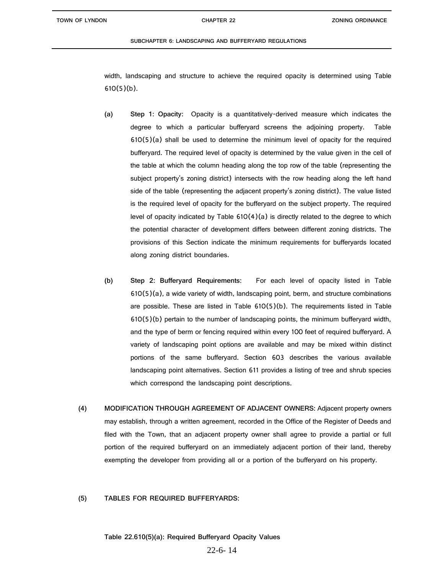width, landscaping and structure to achieve the required opacity is determined using Table 610(5)(b).

- **(a) Step 1: Opacity:** Opacity is a quantitatively-derived measure which indicates the degree to which a particular bufferyard screens the adjoining property. Table  $610(5)(a)$  shall be used to determine the minimum level of opacity for the required bufferyard. The required level of opacity is determined by the value given in the cell of the table at which the column heading along the top row of the table (representing the subject property's zoning district) intersects with the row heading along the left hand side of the table (representing the adjacent property's zoning district). The value listed is the required level of opacity for the bufferyard on the subject property. The required level of opacity indicated by Table  $610(4)(a)$  is directly related to the degree to which the potential character of development differs between different zoning districts. The provisions of this Section indicate the minimum requirements for bufferyards located along zoning district boundaries.
- **(b) Step 2: Bufferyard Requirements:** For each level of opacity listed in Table 610(5)(a), a wide variety of width, landscaping point, berm, and structure combinations are possible. These are listed in Table  $610(5)(b)$ . The requirements listed in Table 610(5)(b) pertain to the number of landscaping points, the minimum bufferyard width, and the type of berm or fencing required within every 100 feet of required bufferyard. A variety of landscaping point options are available and may be mixed within distinct portions of the same bufferyard. Section 603 describes the various available landscaping point alternatives. Section 611 provides a listing of tree and shrub species which correspond the landscaping point descriptions.
- **(4) MODIFICATION THROUGH AGREEMENT OF ADJACENT OWNERS:** Adjacent property owners may establish, through a written agreement, recorded in the Office of the Register of Deeds and filed with the Town, that an adjacent property owner shall agree to provide a partial or full portion of the required bufferyard on an immediately adjacent portion of their land, thereby exempting the developer from providing all or a portion of the bufferyard on his property.

# **(5) TABLES FOR REQUIRED BUFFERYARDS:**

**Table 22.610(5)(a): Required Bufferyard Opacity Values**

# 22-6- 14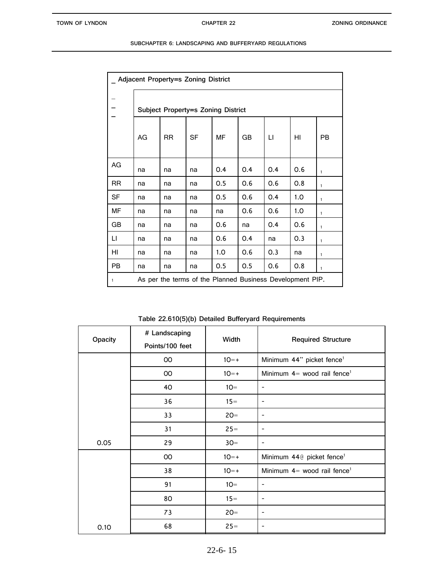| Adjacent Property=s Zoning District |                                    |           |           |                                                           |     |     |     |              |
|-------------------------------------|------------------------------------|-----------|-----------|-----------------------------------------------------------|-----|-----|-----|--------------|
|                                     | Subject Property=s Zoning District |           |           |                                                           |     |     |     |              |
|                                     | AG                                 | <b>RR</b> | <b>SF</b> | MF                                                        | GB  | П   | HI  | <b>PB</b>    |
| AG                                  | na                                 | na        | na        | 0.4                                                       | 0.4 | 0.4 | 0.6 | $\mathbf{1}$ |
| <b>RR</b>                           | na                                 | na        | na        | 0.5                                                       | 0.6 | 0.6 | 0.8 | $\mathbf{1}$ |
| SF                                  | na                                 | na        | na        | 0.5                                                       | O.6 | 0.4 | 1.0 | $\mathbf{1}$ |
| MF                                  | na                                 | na        | na        | na                                                        | 0.6 | 0.6 | 1.0 | $\mathbf{1}$ |
| GB                                  | na                                 | na        | na        | 0.6                                                       | na  | 0.4 | 0.6 | $\mathbf{1}$ |
| П                                   | na                                 | na        | na        | 0.6                                                       | O.4 | na  | 0.3 | $\mathbf{1}$ |
| HI                                  | na                                 | na        | na        | 1.0                                                       | 0.6 | 0.3 | na  | $\mathbf{1}$ |
| PB                                  | na                                 | na        | na        | 0.5                                                       | 0.5 | 0.6 | 0.8 | $\mathbf{1}$ |
| $\mathbf{1}$                        |                                    |           |           | As per the terms of the Planned Business Development PIP. |     |     |     |              |

**Table 22.610(5)(b) Detailed Bufferyard Requirements**

| Opacity | # Landscaping<br>Points/100 feet | Width  | <b>Required Structure</b>                 |
|---------|----------------------------------|--------|-------------------------------------------|
|         | 00                               | $10=+$ | Minimum 44" picket fence <sup>1</sup>     |
|         | OO                               | $10=+$ | Minimum $4=$ wood rail fence <sup>1</sup> |
|         | 40                               | $10 =$ | $\qquad \qquad \blacksquare$              |
|         | 36                               | $15 =$ | -                                         |
|         | 33                               | $20 =$ | $\qquad \qquad \blacksquare$              |
|         | 31                               | $25 =$ |                                           |
| 0.05    | 29                               | $30=$  |                                           |
|         | OO                               | $10=+$ | Minimum 44@ picket fence <sup>1</sup>     |
|         | 38                               | $10=+$ | Minimum $4=$ wood rail fence <sup>1</sup> |
|         | 91                               | $10=$  |                                           |
|         | 80                               | $15=$  | -                                         |
|         | 73                               | $20 =$ |                                           |
| 0.10    | 68                               | $25 =$ |                                           |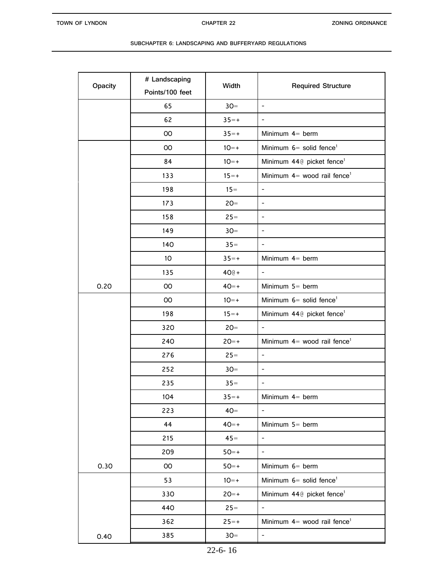| Opacity | # Landscaping<br>Points/100 feet | Width    | <b>Required Structure</b>                         |
|---------|----------------------------------|----------|---------------------------------------------------|
|         | 65                               | $30=$    | $\overline{\phantom{a}}$                          |
|         | 62                               | $35=+$   | $\blacksquare$                                    |
|         | OO                               | $35=+$   | Minimum $4=$ berm                                 |
|         | $00\,$                           | $10=+$   | Minimum $6=$ solid fence <sup>1</sup>             |
|         | 84                               | $10=+$   | Minimum 44@ picket fence <sup>1</sup>             |
|         | 133                              | $15 = +$ | Minimum $4=$ wood rail fence <sup>1</sup>         |
|         | 198                              | $15 =$   | $\frac{1}{2}$                                     |
|         | 173                              | $20 =$   | $\overline{\phantom{a}}$                          |
|         | 158                              | $25 =$   | $\overline{\phantom{a}}$                          |
|         | 149                              | $30=$    | $\overline{\phantom{a}}$                          |
|         | 140                              | $35 =$   | $\overline{\phantom{a}}$                          |
|         | 10 <sup>°</sup>                  | $35=+$   | Minimum $4=$ berm                                 |
|         | 135                              | $40@+$   | $\blacksquare$                                    |
| 0.20    | $00\,$                           | $40=+$   | Minimum 5= berm                                   |
|         | $00\,$                           | $10=+$   | Minimum $6=$ solid fence <sup>1</sup>             |
|         | 198                              | $15 = +$ | Minimum 44 <sup>®</sup> picket fence <sup>1</sup> |
|         | 320                              | $20 =$   |                                                   |
|         | 240                              | $20=+$   | Minimum $4=$ wood rail fence <sup>1</sup>         |
|         | 276                              | $25 =$   | $\overline{\phantom{a}}$                          |
|         | 252                              | $30=$    | $\overline{\phantom{a}}$                          |
|         | 235                              | $35 =$   | $\overline{\phantom{0}}$                          |
|         | 104                              | $35=+$   | Minimum $4=$ berm                                 |
|         | 223                              | $40=$    | $\overline{\phantom{a}}$                          |
|         | 44                               | $40=+$   | Minimum $5=$ berm                                 |
|         | 215                              | $45=$    | $\blacksquare$                                    |
|         | 209                              | $50=+$   | $\overline{\phantom{a}}$                          |
| 0.30    | $00\,$                           | $50=+$   | Minimum 6= berm                                   |
|         | 53                               | $10=+$   | Minimum $6=$ solid fence <sup>1</sup>             |
|         | 330                              | $20=+$   | Minimum 44@ picket fence <sup>1</sup>             |
|         | 440                              | $25=$    | $\overline{\phantom{a}}$                          |
|         | 362                              | $25=+$   | Minimum $4=$ wood rail fence <sup>1</sup>         |
| 0.40    | 385                              | $30=$    | $\overline{\phantom{a}}$                          |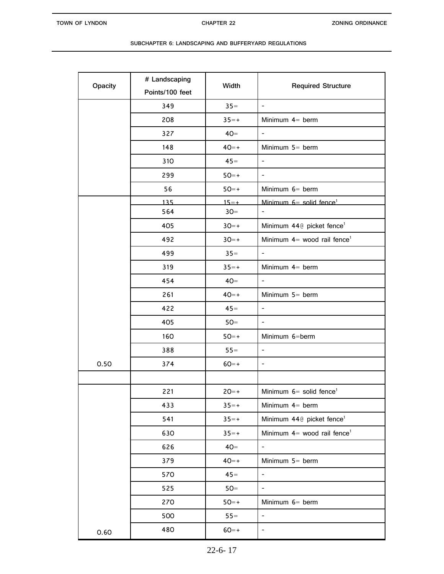| Opacity | # Landscaping<br>Points/100 feet | Width    | <b>Required Structure</b>                 |
|---------|----------------------------------|----------|-------------------------------------------|
|         | 349                              | $35 =$   | $\mathbf{r}$                              |
|         | 208                              | $35=+$   | Minimum $4=$ berm                         |
|         | 327                              | $40=$    | $\overline{\phantom{a}}$                  |
|         | 148                              | $40=+$   | Minimum $5=$ berm                         |
|         | 310                              | $45=$    | $\blacksquare$                            |
|         | 299                              | $50=+$   | $\overline{\phantom{a}}$                  |
|         | 56                               | $50=+$   | Minimum $6=$ berm                         |
|         | 135                              | $15 = +$ | Minimum $6=$ solid fence <sup>1</sup>     |
|         | 564                              | $30=$    | $\overline{\phantom{a}}$                  |
|         | 405                              | $30=+$   | Minimum 440 picket fence <sup>1</sup>     |
|         | 492                              | $30=+$   | Minimum $4=$ wood rail fence <sup>1</sup> |
|         | 499                              | $35 =$   | $\overline{\phantom{a}}$                  |
|         | 319                              | $35=+$   | Minimum $4=$ berm                         |
|         | 454                              | $40=$    | $\overline{\phantom{a}}$                  |
|         | 261                              | $40=+$   | Minimum $5=$ berm                         |
|         | 422                              | $45=$    | $\overline{\phantom{a}}$                  |
|         | 405                              | $50=$    | $\blacksquare$                            |
|         | 160                              | $50=+$   | Minimum 6=berm                            |
|         | 388                              | $55 =$   | $\overline{\phantom{a}}$                  |
| 0.50    | 374                              | $60=+$   | $\blacksquare$                            |
|         |                                  |          |                                           |
|         | 221                              | $20=+$   | Minimum $6=$ solid fence <sup>1</sup>     |
|         | 433                              | $35=+$   | Minimum $4=$ berm                         |
|         | 541                              | $35=+$   | Minimum 44@ picket fence <sup>1</sup>     |
|         | 630                              | $35=+$   | Minimum $4=$ wood rail fence <sup>1</sup> |
|         | 626                              | $40=$    |                                           |
|         | 379                              | $40=+$   | Minimum $5=$ berm                         |
|         | 570                              | $45 =$   | $\sim$                                    |
|         | 525                              | $50=$    | $\overline{\phantom{a}}$                  |
|         | 270                              | $50=+$   | Minimum $6=$ berm                         |
|         | 500                              | $55 =$   | $\overline{\phantom{a}}$                  |
| 0.60    | 480                              | $60=+$   |                                           |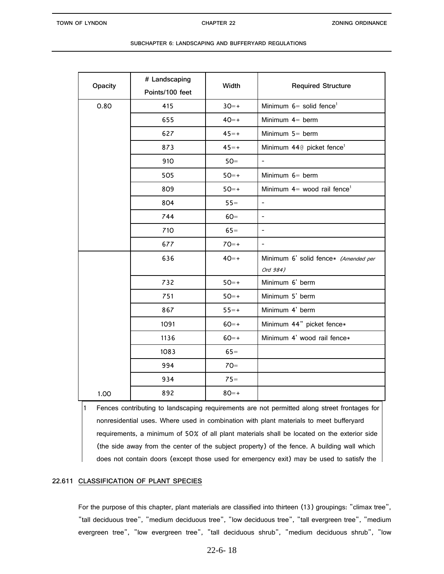| Opacity | # Landscaping<br>Points/100 feet | Width    | <b>Required Structure</b>                 |
|---------|----------------------------------|----------|-------------------------------------------|
| 0.80    | 415                              | $30=+$   | Minimum $6=$ solid fence <sup>1</sup>     |
|         |                                  |          |                                           |
|         | 655                              | $40=+$   | Minimum $4=$ berm                         |
|         | 627                              | $45=+$   | Minimum 5= berm                           |
|         | 873                              | $45=+$   | Minimum 44@ picket fence <sup>1</sup>     |
|         | 910                              | $50=$    | $\blacksquare$                            |
|         | 505                              | $50=+$   | Minimum 6= berm                           |
|         | 809                              | $50=+$   | Minimum $4=$ wood rail fence <sup>1</sup> |
|         | 804                              | $55 =$   | $\mathbf{r}$                              |
|         | 744                              | $60=$    | $\overline{\phantom{a}}$                  |
|         | 710                              | $65 =$   | $\overline{\phantom{a}}$                  |
|         | 677                              | $70=+$   | $\mathbf{r}$                              |
|         | 636                              | $40=+$   | Minimum 6' solid fence* (Amended per      |
|         |                                  |          | Ord 984)                                  |
|         | 732                              | $50=+$   | Minimum 6' berm                           |
|         | 751                              | $50=+$   | Minimum 5' berm                           |
|         | 867                              | $55 = +$ | Minimum 4' berm                           |
|         | 1091                             | $60=+$   | Minimum 44" picket fence*                 |
|         | 1136                             | $60=+$   | Minimum 4' wood rail fence*               |
|         | 1083                             | $65=$    |                                           |
|         | 994                              | $70=$    |                                           |
|         | 934                              | $75=$    |                                           |
| 1.00    | 892                              | $80=+$   |                                           |

| SUBCHAPTER 6: LANDSCAPING AND BUFFERYARD REGULATIONS |  |
|------------------------------------------------------|--|
|------------------------------------------------------|--|

1 Fences contributing to landscaping requirements are not permitted along street frontages for nonresidential uses. Where used in combination with plant materials to meet bufferyard requirements, a minimum of 50% of all plant materials shall be located on the exterior side (the side away from the center of the subject property) of the fence. A building wall which does not contain doors (except those used for emergency exit) may be used to satisfy the

# **22.611 CLASSIFICATION OF PLANT SPECIES**

For the purpose of this chapter, plant materials are classified into thirteen (13) groupings: "climax tree", "tall deciduous tree", "medium deciduous tree", "low deciduous tree", "tall evergreen tree", "medium evergreen tree", "low evergreen tree", "tall deciduous shrub", "medium deciduous shrub", "low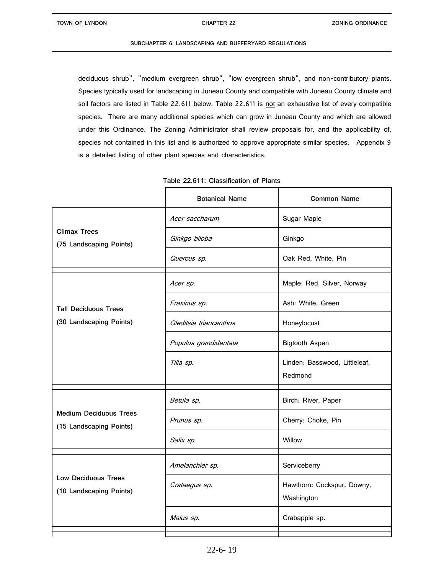deciduous shrub", "medium evergreen shrub", "low evergreen shrub", and non-contributory plants. Species typically used for landscaping in Juneau County and compatible with Juneau County climate and soil factors are listed in Table 22.611 below. Table 22.611 is not an exhaustive list of every compatible species. There are many additional species which can grow in Juneau County and which are allowed under this Ordinance. The Zoning Administrator shall review proposals for, and the applicability of, species not contained in this list and is authorized to approve appropriate similar species. Appendix 9 is a detailed listing of other plant species and characteristics.

|                                                          | <b>Botanical Name</b>  | <b>Common Name</b>                       |
|----------------------------------------------------------|------------------------|------------------------------------------|
|                                                          | Acer saccharum         | Sugar Maple                              |
| <b>Climax Trees</b><br>(75 Landscaping Points)           | Ginkgo biloba          | Ginkgo                                   |
|                                                          | Quercus sp.            | Oak Red, White, Pin                      |
|                                                          | Acer sp.               | Maple: Red, Silver, Norway               |
| <b>Tall Deciduous Trees</b><br>(30 Landscaping Points)   | Fraxinus sp.           | Ash: White, Green                        |
|                                                          | Gleditsia triancanthos | Honeylocust                              |
|                                                          | Populus grandidentata  | <b>Bigtooth Aspen</b>                    |
|                                                          | Tilia sp.              | Linden: Basswood, Littleleaf,<br>Redmond |
|                                                          | Betula sp.             | Birch: River, Paper                      |
| <b>Medium Deciduous Trees</b><br>(15 Landscaping Points) | Prunus sp.             | Cherry: Choke, Pin                       |
|                                                          | Salix sp.              | Willow                                   |
|                                                          | Amelanchier sp.        | Serviceberry                             |
| <b>Low Deciduous Trees</b><br>(10 Landscaping Points)    | Crataegus sp.          | Hawthorn: Cockspur, Downy,<br>Washington |
|                                                          | Malus sp.              | Crabapple sp.                            |
|                                                          |                        |                                          |

| Table 22.611: Classification of Plants |  |  |
|----------------------------------------|--|--|
|                                        |  |  |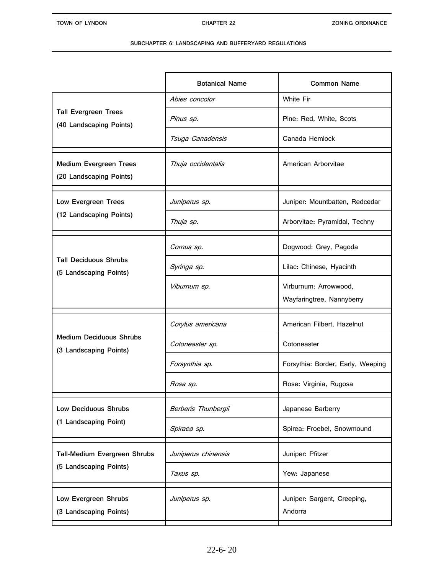|                                                          | <b>Botanical Name</b> | <b>Common Name</b>                                 |
|----------------------------------------------------------|-----------------------|----------------------------------------------------|
| <b>Tall Evergreen Trees</b><br>(40 Landscaping Points)   | Abies concolor        | <b>White Fir</b>                                   |
|                                                          | Pinus sp.             | Pine: Red, White, Scots                            |
|                                                          | Tsuga Canadensis      | Canada Hemlock                                     |
| <b>Medium Evergreen Trees</b><br>(20 Landscaping Points) | Thuja occidentalis    | American Arborvitae                                |
| Low Evergreen Trees<br>(12 Landscaping Points)           | Juniperus sp.         | Juniper: Mountbatten, Redcedar                     |
|                                                          | Thuja sp.             | Arborvitae: Pyramidal, Techny                      |
| <b>Tall Deciduous Shrubs</b><br>(5 Landscaping Points)   | Cornus sp.            | Dogwood: Grey, Pagoda                              |
|                                                          | Syringa sp.           | Lilac: Chinese, Hyacinth                           |
|                                                          | Viburnum sp.          | Virburnum: Arrowwood,<br>Wayfaringtree, Nannyberry |
| <b>Medium Deciduous Shrubs</b><br>(3 Landscaping Points) | Corylus americana     | American Filbert, Hazelnut                         |
|                                                          | Cotoneaster sp.       | Cotoneaster                                        |
|                                                          | Forsynthia sp.        | Forsythia: Border, Early, Weeping                  |
|                                                          | Rosa sp.              | Rose: Virginia, Rugosa                             |
| <b>Low Deciduous Shrubs</b><br>(1 Landscaping Point)     | Berberis Thunbergii   | Japanese Barberry                                  |
|                                                          | Spiraea sp.           | Spirea: Froebel, Snowmound                         |
| Tall-Medium Evergreen Shrubs<br>(5 Landscaping Points)   | Juniperus chinensis   | Juniper: Pfitzer                                   |
|                                                          | Taxus sp.             | Yew: Japanese                                      |
| Low Evergreen Shrubs<br>(3 Landscaping Points)           | Juniperus sp.         | Juniper: Sargent, Creeping,<br>Andorra             |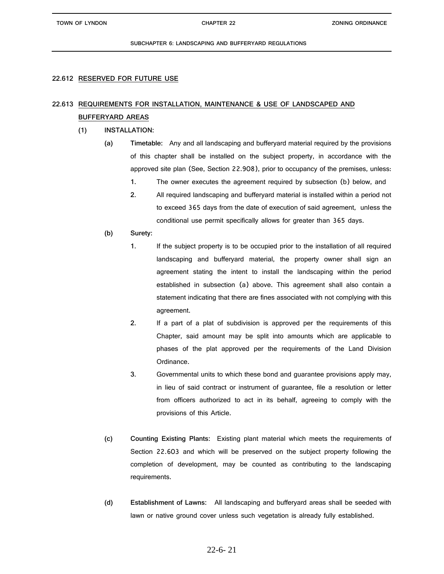# **22.612 RESERVED FOR FUTURE USE**

# **22.613 REQUIREMENTS FOR INSTALLATION, MAINTENANCE & USE OF LANDSCAPED AND BUFFERYARD AREAS**

# **(1) INSTALLATION:**

- **(a) Timetable:** Any and all landscaping and bufferyard material required by the provisions of this chapter shall be installed on the subject property, in accordance with the approved site plan (See, Section 22.908), prior to occupancy of the premises, unless:
	- **1.** The owner executes the agreement required by subsection (b) below, and
	- **2.** All required landscaping and bufferyard material is installed within a period not to exceed 365 days from the date of execution of said agreement, unless the conditional use permit specifically allows for greater than 365 days.
- **(b) Surety:**
	- **1.** If the subject property is to be occupied prior to the installation of all required landscaping and bufferyard material, the property owner shall sign an agreement stating the intent to install the landscaping within the period established in subsection (a) above. This agreement shall also contain a statement indicating that there are fines associated with not complying with this agreement.
	- **2.** If a part of a plat of subdivision is approved per the requirements of this Chapter, said amount may be split into amounts which are applicable to phases of the plat approved per the requirements of the Land Division Ordinance.
	- **3.** Governmental units to which these bond and guarantee provisions apply may, in lieu of said contract or instrument of guarantee, file a resolution or letter from officers authorized to act in its behalf, agreeing to comply with the provisions of this Article.
- **(c) Counting Existing Plants:** Existing plant material which meets the requirements of Section 22.603 and which will be preserved on the subject property following the completion of development, may be counted as contributing to the landscaping requirements.
- **(d) Establishment of Lawns:** All landscaping and bufferyard areas shall be seeded with lawn or native ground cover unless such vegetation is already fully established.

# 22-6- 21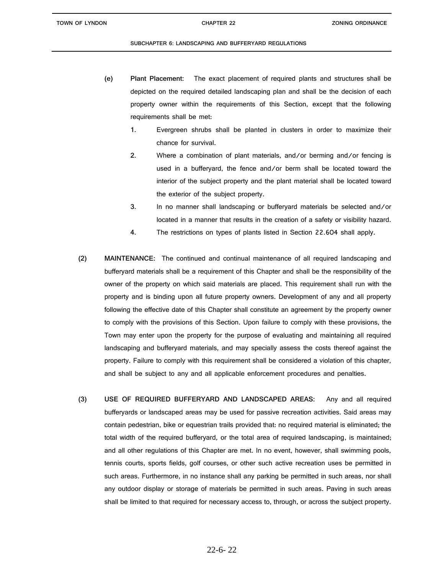- **(e) Plant Placement:** The exact placement of required plants and structures shall be depicted on the required detailed landscaping plan and shall be the decision of each property owner within the requirements of this Section, except that the following requirements shall be met:
	- **1.** Evergreen shrubs shall be planted in clusters in order to maximize their chance for survival.

**2.** Where a combination of plant materials, and/or berming and/or fencing is used in a bufferyard, the fence and/or berm shall be located toward the interior of the subject property and the plant material shall be located toward the exterior of the subject property.

- **3.** In no manner shall landscaping or bufferyard materials be selected and/or located in a manner that results in the creation of a safety or visibility hazard.
- **4.** The restrictions on types of plants listed in Section 22.604 shall apply.
- **(2) MAINTENANCE:** The continued and continual maintenance of all required landscaping and bufferyard materials shall be a requirement of this Chapter and shall be the responsibility of the owner of the property on which said materials are placed. This requirement shall run with the property and is binding upon all future property owners. Development of any and all property following the effective date of this Chapter shall constitute an agreement by the property owner to comply with the provisions of this Section. Upon failure to comply with these provisions, the Town may enter upon the property for the purpose of evaluating and maintaining all required landscaping and bufferyard materials, and may specially assess the costs thereof against the property. Failure to comply with this requirement shall be considered a violation of this chapter, and shall be subject to any and all applicable enforcement procedures and penalties.
- **(3) USE OF REQUIRED BUFFERYARD AND LANDSCAPED AREAS:** Any and all required bufferyards or landscaped areas may be used for passive recreation activities. Said areas may contain pedestrian, bike or equestrian trails provided that: no required material is eliminated; the total width of the required bufferyard, or the total area of required landscaping, is maintained; and all other regulations of this Chapter are met. In no event, however, shall swimming pools, tennis courts, sports fields, golf courses, or other such active recreation uses be permitted in such areas. Furthermore, in no instance shall any parking be permitted in such areas, nor shall any outdoor display or storage of materials be permitted in such areas. Paving in such areas shall be limited to that required for necessary access to, through, or across the subject property.